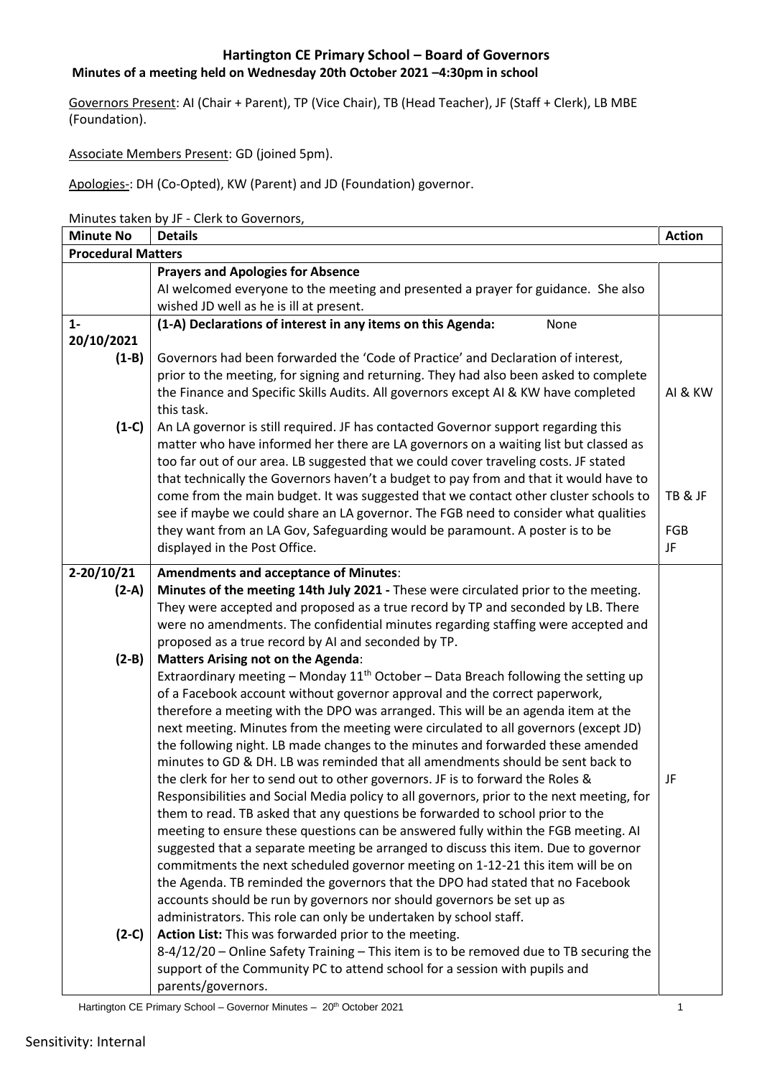#### **Minutes of a meeting held on Wednesday 20th October 2021 –4:30pm in school**

Governors Present: AI (Chair + Parent), TP (Vice Chair), TB (Head Teacher), JF (Staff + Clerk), LB MBE (Foundation).

Associate Members Present: GD (joined 5pm).

Apologies-: DH (Co-Opted), KW (Parent) and JD (Foundation) governor.

Minutes taken by JF - Clerk to Governors,

| <b>Minute No</b>          | <b>Details</b>                                                                                                                                                              | <b>Action</b> |
|---------------------------|-----------------------------------------------------------------------------------------------------------------------------------------------------------------------------|---------------|
| <b>Procedural Matters</b> |                                                                                                                                                                             |               |
|                           | <b>Prayers and Apologies for Absence</b>                                                                                                                                    |               |
|                           | AI welcomed everyone to the meeting and presented a prayer for guidance. She also                                                                                           |               |
|                           | wished JD well as he is ill at present.                                                                                                                                     |               |
| $1 -$                     | (1-A) Declarations of interest in any items on this Agenda:<br>None                                                                                                         |               |
| 20/10/2021                |                                                                                                                                                                             |               |
| $(1-B)$                   | Governors had been forwarded the 'Code of Practice' and Declaration of interest,                                                                                            |               |
|                           | prior to the meeting, for signing and returning. They had also been asked to complete                                                                                       |               |
|                           | the Finance and Specific Skills Audits. All governors except AI & KW have completed                                                                                         | AI & KW       |
|                           | this task.                                                                                                                                                                  |               |
| $(1-C)$                   | An LA governor is still required. JF has contacted Governor support regarding this                                                                                          |               |
|                           | matter who have informed her there are LA governors on a waiting list but classed as                                                                                        |               |
|                           | too far out of our area. LB suggested that we could cover traveling costs. JF stated                                                                                        |               |
|                           | that technically the Governors haven't a budget to pay from and that it would have to                                                                                       |               |
|                           | come from the main budget. It was suggested that we contact other cluster schools to                                                                                        | TB & JF       |
|                           | see if maybe we could share an LA governor. The FGB need to consider what qualities                                                                                         |               |
|                           | they want from an LA Gov, Safeguarding would be paramount. A poster is to be                                                                                                | FGB           |
|                           | displayed in the Post Office.                                                                                                                                               | JF            |
| $2-20/10/21$              | <b>Amendments and acceptance of Minutes:</b>                                                                                                                                |               |
| $(2-A)$                   | Minutes of the meeting 14th July 2021 - These were circulated prior to the meeting.                                                                                         |               |
|                           | They were accepted and proposed as a true record by TP and seconded by LB. There                                                                                            |               |
|                           | were no amendments. The confidential minutes regarding staffing were accepted and                                                                                           |               |
|                           | proposed as a true record by AI and seconded by TP.                                                                                                                         |               |
| $(2-B)$                   | <b>Matters Arising not on the Agenda:</b>                                                                                                                                   |               |
|                           | Extraordinary meeting - Monday $11^{th}$ October - Data Breach following the setting up                                                                                     |               |
|                           | of a Facebook account without governor approval and the correct paperwork,                                                                                                  |               |
|                           | therefore a meeting with the DPO was arranged. This will be an agenda item at the                                                                                           |               |
|                           | next meeting. Minutes from the meeting were circulated to all governors (except JD)                                                                                         |               |
|                           | the following night. LB made changes to the minutes and forwarded these amended<br>minutes to GD & DH. LB was reminded that all amendments should be sent back to           |               |
|                           |                                                                                                                                                                             | JF            |
|                           | the clerk for her to send out to other governors. JF is to forward the Roles &<br>Responsibilities and Social Media policy to all governors, prior to the next meeting, for |               |
|                           | them to read. TB asked that any questions be forwarded to school prior to the                                                                                               |               |
|                           | meeting to ensure these questions can be answered fully within the FGB meeting. AI                                                                                          |               |
|                           | suggested that a separate meeting be arranged to discuss this item. Due to governor                                                                                         |               |
|                           | commitments the next scheduled governor meeting on 1-12-21 this item will be on                                                                                             |               |
|                           | the Agenda. TB reminded the governors that the DPO had stated that no Facebook                                                                                              |               |
|                           | accounts should be run by governors nor should governors be set up as                                                                                                       |               |
|                           | administrators. This role can only be undertaken by school staff.                                                                                                           |               |
| $(2-C)$                   | Action List: This was forwarded prior to the meeting.                                                                                                                       |               |
|                           | 8-4/12/20 - Online Safety Training - This item is to be removed due to TB securing the                                                                                      |               |
|                           | support of the Community PC to attend school for a session with pupils and                                                                                                  |               |
|                           | parents/governors.                                                                                                                                                          |               |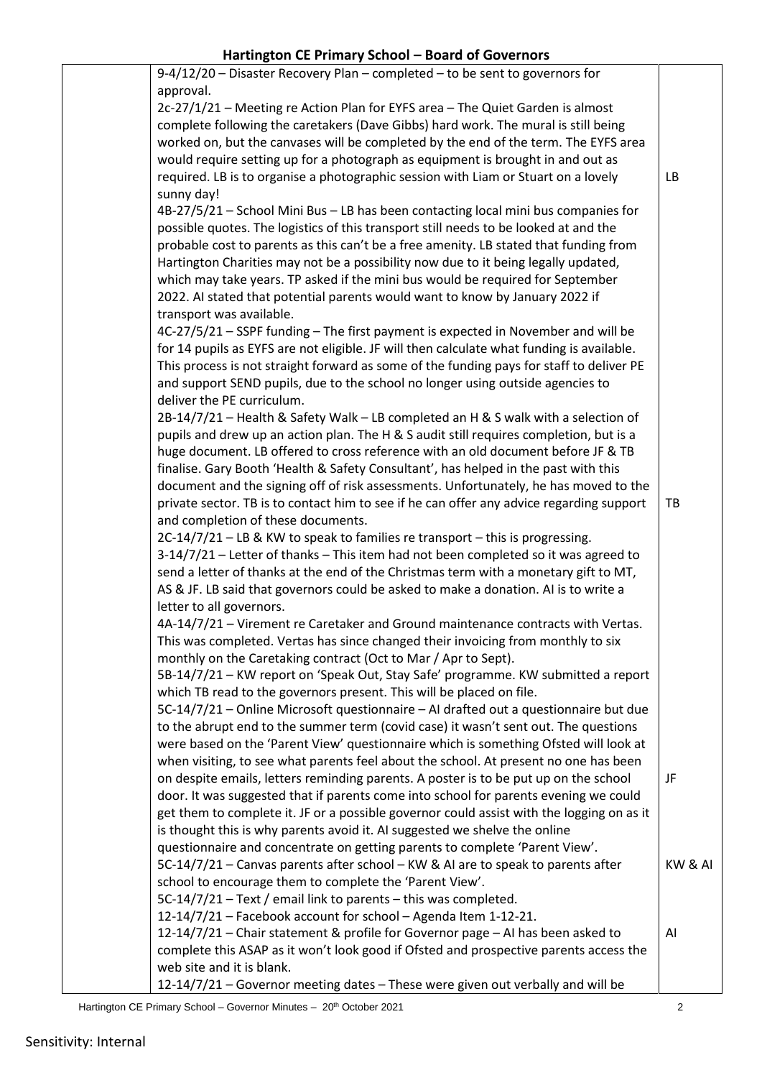| 9-4/12/20 - Disaster Recovery Plan - completed - to be sent to governors for                                                                                                |         |
|-----------------------------------------------------------------------------------------------------------------------------------------------------------------------------|---------|
| approval.                                                                                                                                                                   |         |
| 2c-27/1/21 - Meeting re Action Plan for EYFS area - The Quiet Garden is almost                                                                                              |         |
| complete following the caretakers (Dave Gibbs) hard work. The mural is still being                                                                                          |         |
| worked on, but the canvases will be completed by the end of the term. The EYFS area                                                                                         |         |
| would require setting up for a photograph as equipment is brought in and out as                                                                                             |         |
| required. LB is to organise a photographic session with Liam or Stuart on a lovely                                                                                          | LB      |
| sunny day!                                                                                                                                                                  |         |
| 4B-27/5/21 - School Mini Bus - LB has been contacting local mini bus companies for                                                                                          |         |
| possible quotes. The logistics of this transport still needs to be looked at and the                                                                                        |         |
| probable cost to parents as this can't be a free amenity. LB stated that funding from                                                                                       |         |
| Hartington Charities may not be a possibility now due to it being legally updated,                                                                                          |         |
| which may take years. TP asked if the mini bus would be required for September                                                                                              |         |
| 2022. Al stated that potential parents would want to know by January 2022 if                                                                                                |         |
| transport was available.                                                                                                                                                    |         |
| 4C-27/5/21 - SSPF funding - The first payment is expected in November and will be                                                                                           |         |
| for 14 pupils as EYFS are not eligible. JF will then calculate what funding is available.                                                                                   |         |
| This process is not straight forward as some of the funding pays for staff to deliver PE                                                                                    |         |
| and support SEND pupils, due to the school no longer using outside agencies to                                                                                              |         |
| deliver the PE curriculum.                                                                                                                                                  |         |
| 2B-14/7/21 - Health & Safety Walk - LB completed an H & S walk with a selection of                                                                                          |         |
| pupils and drew up an action plan. The H & S audit still requires completion, but is a                                                                                      |         |
| huge document. LB offered to cross reference with an old document before JF & TB                                                                                            |         |
| finalise. Gary Booth 'Health & Safety Consultant', has helped in the past with this                                                                                         |         |
| document and the signing off of risk assessments. Unfortunately, he has moved to the                                                                                        |         |
| private sector. TB is to contact him to see if he can offer any advice regarding support                                                                                    | TB      |
| and completion of these documents.                                                                                                                                          |         |
| 2C-14/7/21 - LB & KW to speak to families re transport - this is progressing.                                                                                               |         |
| 3-14/7/21 - Letter of thanks - This item had not been completed so it was agreed to                                                                                         |         |
| send a letter of thanks at the end of the Christmas term with a monetary gift to MT,                                                                                        |         |
| AS & JF. LB said that governors could be asked to make a donation. AI is to write a                                                                                         |         |
| letter to all governors.                                                                                                                                                    |         |
| 4A-14/7/21 - Virement re Caretaker and Ground maintenance contracts with Vertas.                                                                                            |         |
| This was completed. Vertas has since changed their invoicing from monthly to six                                                                                            |         |
| monthly on the Caretaking contract (Oct to Mar / Apr to Sept).                                                                                                              |         |
| 5B-14/7/21 - KW report on 'Speak Out, Stay Safe' programme. KW submitted a report                                                                                           |         |
| which TB read to the governors present. This will be placed on file.                                                                                                        |         |
| 5C-14/7/21 - Online Microsoft questionnaire - AI drafted out a questionnaire but due                                                                                        |         |
| to the abrupt end to the summer term (covid case) it wasn't sent out. The questions<br>were based on the 'Parent View' questionnaire which is something Ofsted will look at |         |
| when visiting, to see what parents feel about the school. At present no one has been                                                                                        |         |
| on despite emails, letters reminding parents. A poster is to be put up on the school                                                                                        | JF      |
| door. It was suggested that if parents come into school for parents evening we could                                                                                        |         |
| get them to complete it. JF or a possible governor could assist with the logging on as it                                                                                   |         |
| is thought this is why parents avoid it. AI suggested we shelve the online                                                                                                  |         |
| questionnaire and concentrate on getting parents to complete 'Parent View'.                                                                                                 |         |
| 5C-14/7/21 - Canvas parents after school - KW & AI are to speak to parents after                                                                                            | KW & AI |
| school to encourage them to complete the 'Parent View'.                                                                                                                     |         |
| 5C-14/7/21 - Text / email link to parents - this was completed.                                                                                                             |         |
| 12-14/7/21 - Facebook account for school - Agenda Item 1-12-21.                                                                                                             |         |
| 12-14/7/21 - Chair statement & profile for Governor page - AI has been asked to                                                                                             | Al      |
| complete this ASAP as it won't look good if Ofsted and prospective parents access the                                                                                       |         |
| web site and it is blank.                                                                                                                                                   |         |
| 12-14/7/21 - Governor meeting dates - These were given out verbally and will be                                                                                             |         |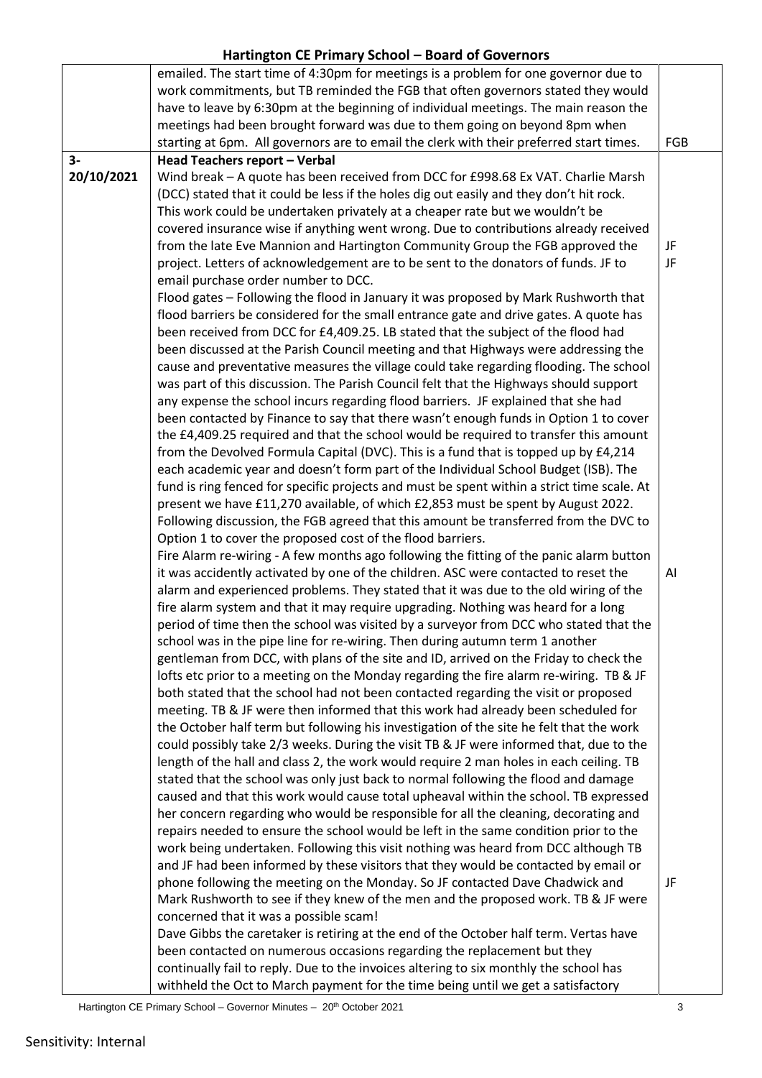|            | emailed. The start time of 4:30pm for meetings is a problem for one governor due to<br>work commitments, but TB reminded the FGB that often governors stated they would<br>have to leave by 6:30pm at the beginning of individual meetings. The main reason the<br>meetings had been brought forward was due to them going on beyond 8pm when<br>starting at 6pm. All governors are to email the clerk with their preferred start times. | <b>FGB</b> |
|------------|------------------------------------------------------------------------------------------------------------------------------------------------------------------------------------------------------------------------------------------------------------------------------------------------------------------------------------------------------------------------------------------------------------------------------------------|------------|
| $3-$       | Head Teachers report - Verbal                                                                                                                                                                                                                                                                                                                                                                                                            |            |
| 20/10/2021 | Wind break - A quote has been received from DCC for £998.68 Ex VAT. Charlie Marsh                                                                                                                                                                                                                                                                                                                                                        |            |
|            | (DCC) stated that it could be less if the holes dig out easily and they don't hit rock.                                                                                                                                                                                                                                                                                                                                                  |            |
|            |                                                                                                                                                                                                                                                                                                                                                                                                                                          |            |
|            | This work could be undertaken privately at a cheaper rate but we wouldn't be                                                                                                                                                                                                                                                                                                                                                             |            |
|            | covered insurance wise if anything went wrong. Due to contributions already received                                                                                                                                                                                                                                                                                                                                                     |            |
|            | from the late Eve Mannion and Hartington Community Group the FGB approved the                                                                                                                                                                                                                                                                                                                                                            | JF         |
|            | project. Letters of acknowledgement are to be sent to the donators of funds. JF to                                                                                                                                                                                                                                                                                                                                                       | JF         |
|            | email purchase order number to DCC.                                                                                                                                                                                                                                                                                                                                                                                                      |            |
|            | Flood gates - Following the flood in January it was proposed by Mark Rushworth that                                                                                                                                                                                                                                                                                                                                                      |            |
|            | flood barriers be considered for the small entrance gate and drive gates. A quote has                                                                                                                                                                                                                                                                                                                                                    |            |
|            | been received from DCC for £4,409.25. LB stated that the subject of the flood had                                                                                                                                                                                                                                                                                                                                                        |            |
|            | been discussed at the Parish Council meeting and that Highways were addressing the                                                                                                                                                                                                                                                                                                                                                       |            |
|            | cause and preventative measures the village could take regarding flooding. The school                                                                                                                                                                                                                                                                                                                                                    |            |
|            | was part of this discussion. The Parish Council felt that the Highways should support                                                                                                                                                                                                                                                                                                                                                    |            |
|            | any expense the school incurs regarding flood barriers. JF explained that she had                                                                                                                                                                                                                                                                                                                                                        |            |
|            | been contacted by Finance to say that there wasn't enough funds in Option 1 to cover                                                                                                                                                                                                                                                                                                                                                     |            |
|            | the £4,409.25 required and that the school would be required to transfer this amount                                                                                                                                                                                                                                                                                                                                                     |            |
|            | from the Devolved Formula Capital (DVC). This is a fund that is topped up by £4,214                                                                                                                                                                                                                                                                                                                                                      |            |
|            | each academic year and doesn't form part of the Individual School Budget (ISB). The                                                                                                                                                                                                                                                                                                                                                      |            |
|            | fund is ring fenced for specific projects and must be spent within a strict time scale. At                                                                                                                                                                                                                                                                                                                                               |            |
|            | present we have £11,270 available, of which £2,853 must be spent by August 2022.                                                                                                                                                                                                                                                                                                                                                         |            |
|            | Following discussion, the FGB agreed that this amount be transferred from the DVC to                                                                                                                                                                                                                                                                                                                                                     |            |
|            | Option 1 to cover the proposed cost of the flood barriers.                                                                                                                                                                                                                                                                                                                                                                               |            |
|            | Fire Alarm re-wiring - A few months ago following the fitting of the panic alarm button                                                                                                                                                                                                                                                                                                                                                  |            |
|            | it was accidently activated by one of the children. ASC were contacted to reset the                                                                                                                                                                                                                                                                                                                                                      | AI         |
|            | alarm and experienced problems. They stated that it was due to the old wiring of the                                                                                                                                                                                                                                                                                                                                                     |            |
|            | fire alarm system and that it may require upgrading. Nothing was heard for a long                                                                                                                                                                                                                                                                                                                                                        |            |
|            | period of time then the school was visited by a surveyor from DCC who stated that the                                                                                                                                                                                                                                                                                                                                                    |            |
|            | school was in the pipe line for re-wiring. Then during autumn term 1 another                                                                                                                                                                                                                                                                                                                                                             |            |
|            | gentleman from DCC, with plans of the site and ID, arrived on the Friday to check the                                                                                                                                                                                                                                                                                                                                                    |            |
|            | lofts etc prior to a meeting on the Monday regarding the fire alarm re-wiring. TB & JF                                                                                                                                                                                                                                                                                                                                                   |            |
|            | both stated that the school had not been contacted regarding the visit or proposed                                                                                                                                                                                                                                                                                                                                                       |            |
|            | meeting. TB & JF were then informed that this work had already been scheduled for                                                                                                                                                                                                                                                                                                                                                        |            |
|            | the October half term but following his investigation of the site he felt that the work                                                                                                                                                                                                                                                                                                                                                  |            |
|            | could possibly take 2/3 weeks. During the visit TB & JF were informed that, due to the                                                                                                                                                                                                                                                                                                                                                   |            |
|            | length of the hall and class 2, the work would require 2 man holes in each ceiling. TB                                                                                                                                                                                                                                                                                                                                                   |            |
|            | stated that the school was only just back to normal following the flood and damage                                                                                                                                                                                                                                                                                                                                                       |            |
|            | caused and that this work would cause total upheaval within the school. TB expressed                                                                                                                                                                                                                                                                                                                                                     |            |
|            | her concern regarding who would be responsible for all the cleaning, decorating and                                                                                                                                                                                                                                                                                                                                                      |            |
|            | repairs needed to ensure the school would be left in the same condition prior to the                                                                                                                                                                                                                                                                                                                                                     |            |
|            | work being undertaken. Following this visit nothing was heard from DCC although TB                                                                                                                                                                                                                                                                                                                                                       |            |
|            | and JF had been informed by these visitors that they would be contacted by email or                                                                                                                                                                                                                                                                                                                                                      |            |
|            | phone following the meeting on the Monday. So JF contacted Dave Chadwick and                                                                                                                                                                                                                                                                                                                                                             | JF         |
|            | Mark Rushworth to see if they knew of the men and the proposed work. TB & JF were                                                                                                                                                                                                                                                                                                                                                        |            |
|            | concerned that it was a possible scam!                                                                                                                                                                                                                                                                                                                                                                                                   |            |
|            | Dave Gibbs the caretaker is retiring at the end of the October half term. Vertas have                                                                                                                                                                                                                                                                                                                                                    |            |
|            | been contacted on numerous occasions regarding the replacement but they                                                                                                                                                                                                                                                                                                                                                                  |            |
|            | continually fail to reply. Due to the invoices altering to six monthly the school has                                                                                                                                                                                                                                                                                                                                                    |            |
|            | withheld the Oct to March payment for the time being until we get a satisfactory                                                                                                                                                                                                                                                                                                                                                         |            |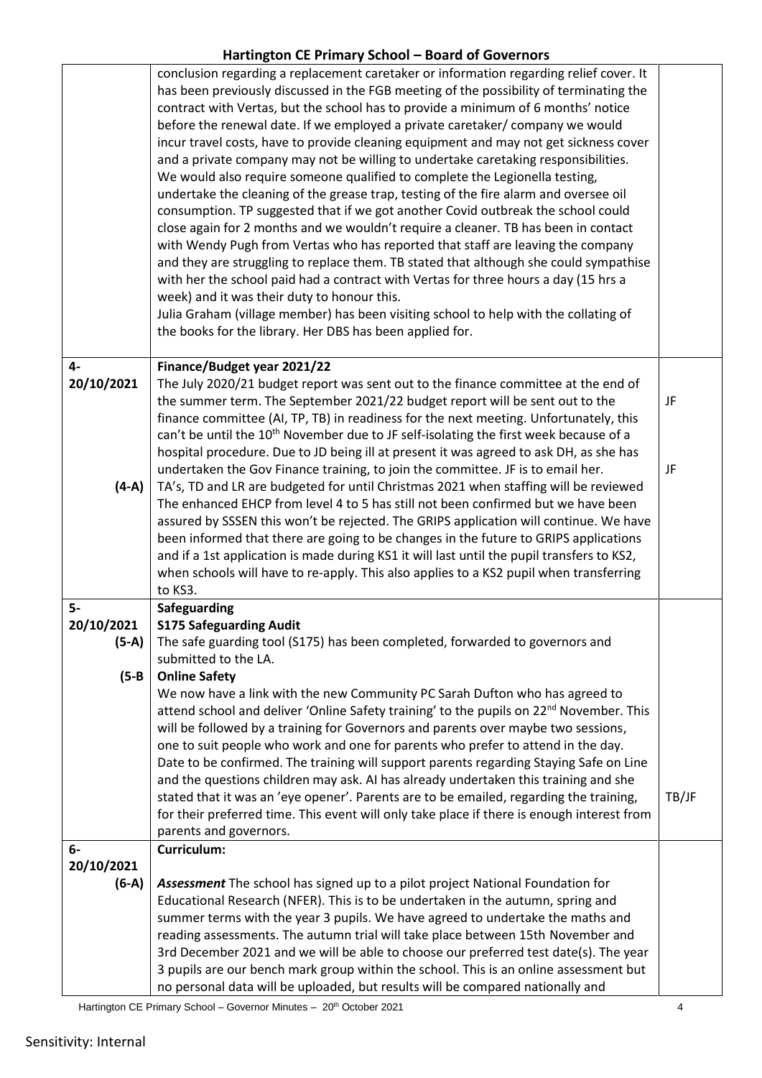|            | conclusion regarding a replacement caretaker or information regarding relief cover. It<br>has been previously discussed in the FGB meeting of the possibility of terminating the<br>contract with Vertas, but the school has to provide a minimum of 6 months' notice<br>before the renewal date. If we employed a private caretaker/ company we would<br>incur travel costs, have to provide cleaning equipment and may not get sickness cover<br>and a private company may not be willing to undertake caretaking responsibilities.<br>We would also require someone qualified to complete the Legionella testing,<br>undertake the cleaning of the grease trap, testing of the fire alarm and oversee oil<br>consumption. TP suggested that if we got another Covid outbreak the school could<br>close again for 2 months and we wouldn't require a cleaner. TB has been in contact<br>with Wendy Pugh from Vertas who has reported that staff are leaving the company<br>and they are struggling to replace them. TB stated that although she could sympathise<br>with her the school paid had a contract with Vertas for three hours a day (15 hrs a<br>week) and it was their duty to honour this.<br>Julia Graham (village member) has been visiting school to help with the collating of |       |
|------------|--------------------------------------------------------------------------------------------------------------------------------------------------------------------------------------------------------------------------------------------------------------------------------------------------------------------------------------------------------------------------------------------------------------------------------------------------------------------------------------------------------------------------------------------------------------------------------------------------------------------------------------------------------------------------------------------------------------------------------------------------------------------------------------------------------------------------------------------------------------------------------------------------------------------------------------------------------------------------------------------------------------------------------------------------------------------------------------------------------------------------------------------------------------------------------------------------------------------------------------------------------------------------------------------------|-------|
|            | the books for the library. Her DBS has been applied for.                                                                                                                                                                                                                                                                                                                                                                                                                                                                                                                                                                                                                                                                                                                                                                                                                                                                                                                                                                                                                                                                                                                                                                                                                                         |       |
| 4-         | Finance/Budget year 2021/22                                                                                                                                                                                                                                                                                                                                                                                                                                                                                                                                                                                                                                                                                                                                                                                                                                                                                                                                                                                                                                                                                                                                                                                                                                                                      |       |
| 20/10/2021 | The July 2020/21 budget report was sent out to the finance committee at the end of                                                                                                                                                                                                                                                                                                                                                                                                                                                                                                                                                                                                                                                                                                                                                                                                                                                                                                                                                                                                                                                                                                                                                                                                               |       |
|            | the summer term. The September 2021/22 budget report will be sent out to the<br>finance committee (AI, TP, TB) in readiness for the next meeting. Unfortunately, this                                                                                                                                                                                                                                                                                                                                                                                                                                                                                                                                                                                                                                                                                                                                                                                                                                                                                                                                                                                                                                                                                                                            | JF    |
|            | can't be until the 10 <sup>th</sup> November due to JF self-isolating the first week because of a                                                                                                                                                                                                                                                                                                                                                                                                                                                                                                                                                                                                                                                                                                                                                                                                                                                                                                                                                                                                                                                                                                                                                                                                |       |
|            | hospital procedure. Due to JD being ill at present it was agreed to ask DH, as she has                                                                                                                                                                                                                                                                                                                                                                                                                                                                                                                                                                                                                                                                                                                                                                                                                                                                                                                                                                                                                                                                                                                                                                                                           | JF    |
| $(4-A)$    | undertaken the Gov Finance training, to join the committee. JF is to email her.<br>TA's, TD and LR are budgeted for until Christmas 2021 when staffing will be reviewed                                                                                                                                                                                                                                                                                                                                                                                                                                                                                                                                                                                                                                                                                                                                                                                                                                                                                                                                                                                                                                                                                                                          |       |
|            | The enhanced EHCP from level 4 to 5 has still not been confirmed but we have been                                                                                                                                                                                                                                                                                                                                                                                                                                                                                                                                                                                                                                                                                                                                                                                                                                                                                                                                                                                                                                                                                                                                                                                                                |       |
|            | assured by SSSEN this won't be rejected. The GRIPS application will continue. We have                                                                                                                                                                                                                                                                                                                                                                                                                                                                                                                                                                                                                                                                                                                                                                                                                                                                                                                                                                                                                                                                                                                                                                                                            |       |
|            | been informed that there are going to be changes in the future to GRIPS applications<br>and if a 1st application is made during KS1 it will last until the pupil transfers to KS2,                                                                                                                                                                                                                                                                                                                                                                                                                                                                                                                                                                                                                                                                                                                                                                                                                                                                                                                                                                                                                                                                                                               |       |
|            | when schools will have to re-apply. This also applies to a KS2 pupil when transferring                                                                                                                                                                                                                                                                                                                                                                                                                                                                                                                                                                                                                                                                                                                                                                                                                                                                                                                                                                                                                                                                                                                                                                                                           |       |
|            | to KS3.                                                                                                                                                                                                                                                                                                                                                                                                                                                                                                                                                                                                                                                                                                                                                                                                                                                                                                                                                                                                                                                                                                                                                                                                                                                                                          |       |
| $5-$       | Safeguarding                                                                                                                                                                                                                                                                                                                                                                                                                                                                                                                                                                                                                                                                                                                                                                                                                                                                                                                                                                                                                                                                                                                                                                                                                                                                                     |       |
| 20/10/2021 | <b>S175 Safeguarding Audit</b>                                                                                                                                                                                                                                                                                                                                                                                                                                                                                                                                                                                                                                                                                                                                                                                                                                                                                                                                                                                                                                                                                                                                                                                                                                                                   |       |
| $(5-A)$    | The safe guarding tool (S175) has been completed, forwarded to governors and<br>submitted to the LA.                                                                                                                                                                                                                                                                                                                                                                                                                                                                                                                                                                                                                                                                                                                                                                                                                                                                                                                                                                                                                                                                                                                                                                                             |       |
| $(5-B)$    | <b>Online Safety</b>                                                                                                                                                                                                                                                                                                                                                                                                                                                                                                                                                                                                                                                                                                                                                                                                                                                                                                                                                                                                                                                                                                                                                                                                                                                                             |       |
|            | We now have a link with the new Community PC Sarah Dufton who has agreed to                                                                                                                                                                                                                                                                                                                                                                                                                                                                                                                                                                                                                                                                                                                                                                                                                                                                                                                                                                                                                                                                                                                                                                                                                      |       |
|            | attend school and deliver 'Online Safety training' to the pupils on 22 <sup>nd</sup> November. This                                                                                                                                                                                                                                                                                                                                                                                                                                                                                                                                                                                                                                                                                                                                                                                                                                                                                                                                                                                                                                                                                                                                                                                              |       |
|            | will be followed by a training for Governors and parents over maybe two sessions,                                                                                                                                                                                                                                                                                                                                                                                                                                                                                                                                                                                                                                                                                                                                                                                                                                                                                                                                                                                                                                                                                                                                                                                                                |       |
|            | one to suit people who work and one for parents who prefer to attend in the day.                                                                                                                                                                                                                                                                                                                                                                                                                                                                                                                                                                                                                                                                                                                                                                                                                                                                                                                                                                                                                                                                                                                                                                                                                 |       |
|            | Date to be confirmed. The training will support parents regarding Staying Safe on Line                                                                                                                                                                                                                                                                                                                                                                                                                                                                                                                                                                                                                                                                                                                                                                                                                                                                                                                                                                                                                                                                                                                                                                                                           |       |
|            | and the questions children may ask. AI has already undertaken this training and she<br>stated that it was an 'eye opener'. Parents are to be emailed, regarding the training,                                                                                                                                                                                                                                                                                                                                                                                                                                                                                                                                                                                                                                                                                                                                                                                                                                                                                                                                                                                                                                                                                                                    | TB/JF |
|            | for their preferred time. This event will only take place if there is enough interest from                                                                                                                                                                                                                                                                                                                                                                                                                                                                                                                                                                                                                                                                                                                                                                                                                                                                                                                                                                                                                                                                                                                                                                                                       |       |
|            | parents and governors.                                                                                                                                                                                                                                                                                                                                                                                                                                                                                                                                                                                                                                                                                                                                                                                                                                                                                                                                                                                                                                                                                                                                                                                                                                                                           |       |
| 6-         | Curriculum:                                                                                                                                                                                                                                                                                                                                                                                                                                                                                                                                                                                                                                                                                                                                                                                                                                                                                                                                                                                                                                                                                                                                                                                                                                                                                      |       |
| 20/10/2021 |                                                                                                                                                                                                                                                                                                                                                                                                                                                                                                                                                                                                                                                                                                                                                                                                                                                                                                                                                                                                                                                                                                                                                                                                                                                                                                  |       |
| $(6-A)$    | Assessment The school has signed up to a pilot project National Foundation for                                                                                                                                                                                                                                                                                                                                                                                                                                                                                                                                                                                                                                                                                                                                                                                                                                                                                                                                                                                                                                                                                                                                                                                                                   |       |
|            | Educational Research (NFER). This is to be undertaken in the autumn, spring and                                                                                                                                                                                                                                                                                                                                                                                                                                                                                                                                                                                                                                                                                                                                                                                                                                                                                                                                                                                                                                                                                                                                                                                                                  |       |
|            | summer terms with the year 3 pupils. We have agreed to undertake the maths and                                                                                                                                                                                                                                                                                                                                                                                                                                                                                                                                                                                                                                                                                                                                                                                                                                                                                                                                                                                                                                                                                                                                                                                                                   |       |
|            | reading assessments. The autumn trial will take place between 15th November and                                                                                                                                                                                                                                                                                                                                                                                                                                                                                                                                                                                                                                                                                                                                                                                                                                                                                                                                                                                                                                                                                                                                                                                                                  |       |
|            | 3rd December 2021 and we will be able to choose our preferred test date(s). The year<br>3 pupils are our bench mark group within the school. This is an online assessment but                                                                                                                                                                                                                                                                                                                                                                                                                                                                                                                                                                                                                                                                                                                                                                                                                                                                                                                                                                                                                                                                                                                    |       |
|            | no personal data will be uploaded, but results will be compared nationally and                                                                                                                                                                                                                                                                                                                                                                                                                                                                                                                                                                                                                                                                                                                                                                                                                                                                                                                                                                                                                                                                                                                                                                                                                   |       |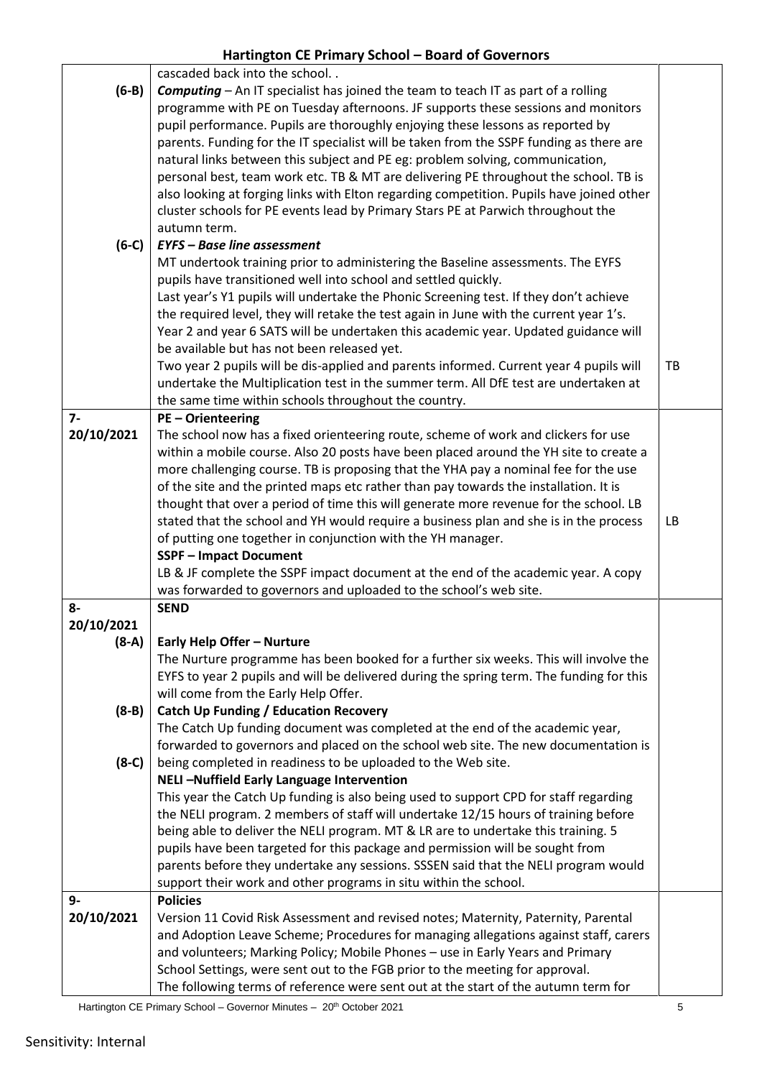|            | cascaded back into the school                                                            |     |
|------------|------------------------------------------------------------------------------------------|-----|
| $(6-B)$    | Computing - An IT specialist has joined the team to teach IT as part of a rolling        |     |
|            | programme with PE on Tuesday afternoons. JF supports these sessions and monitors         |     |
|            | pupil performance. Pupils are thoroughly enjoying these lessons as reported by           |     |
|            | parents. Funding for the IT specialist will be taken from the SSPF funding as there are  |     |
|            | natural links between this subject and PE eg: problem solving, communication,            |     |
|            |                                                                                          |     |
|            | personal best, team work etc. TB & MT are delivering PE throughout the school. TB is     |     |
|            | also looking at forging links with Elton regarding competition. Pupils have joined other |     |
|            | cluster schools for PE events lead by Primary Stars PE at Parwich throughout the         |     |
|            | autumn term.                                                                             |     |
| $(6-C)$    | <b>EYFS - Base line assessment</b>                                                       |     |
|            | MT undertook training prior to administering the Baseline assessments. The EYFS          |     |
|            | pupils have transitioned well into school and settled quickly.                           |     |
|            | Last year's Y1 pupils will undertake the Phonic Screening test. If they don't achieve    |     |
|            | the required level, they will retake the test again in June with the current year 1's.   |     |
|            | Year 2 and year 6 SATS will be undertaken this academic year. Updated guidance will      |     |
|            | be available but has not been released yet.                                              |     |
|            | Two year 2 pupils will be dis-applied and parents informed. Current year 4 pupils will   | TB  |
|            | undertake the Multiplication test in the summer term. All DfE test are undertaken at     |     |
|            | the same time within schools throughout the country.                                     |     |
| $7-$       | <b>PE-Orienteering</b>                                                                   |     |
| 20/10/2021 | The school now has a fixed orienteering route, scheme of work and clickers for use       |     |
|            | within a mobile course. Also 20 posts have been placed around the YH site to create a    |     |
|            | more challenging course. TB is proposing that the YHA pay a nominal fee for the use      |     |
|            | of the site and the printed maps etc rather than pay towards the installation. It is     |     |
|            | thought that over a period of time this will generate more revenue for the school. LB    |     |
|            | stated that the school and YH would require a business plan and she is in the process    | LB. |
|            | of putting one together in conjunction with the YH manager.                              |     |
|            | <b>SSPF-Impact Document</b>                                                              |     |
|            | LB & JF complete the SSPF impact document at the end of the academic year. A copy        |     |
|            | was forwarded to governors and uploaded to the school's web site.                        |     |
| 8-         | <b>SEND</b>                                                                              |     |
| 20/10/2021 |                                                                                          |     |
| $(8-A)$    | Early Help Offer - Nurture                                                               |     |
|            | The Nurture programme has been booked for a further six weeks. This will involve the     |     |
|            | EYFS to year 2 pupils and will be delivered during the spring term. The funding for this |     |
|            |                                                                                          |     |
|            | will come from the Early Help Offer.                                                     |     |
| $(8-B)$    | <b>Catch Up Funding / Education Recovery</b>                                             |     |
|            | The Catch Up funding document was completed at the end of the academic year,             |     |
|            | forwarded to governors and placed on the school web site. The new documentation is       |     |
| $(8-C)$    | being completed in readiness to be uploaded to the Web site.                             |     |
|            | NELI-Nuffield Early Language Intervention                                                |     |
|            | This year the Catch Up funding is also being used to support CPD for staff regarding     |     |
|            | the NELI program. 2 members of staff will undertake 12/15 hours of training before       |     |
|            | being able to deliver the NELI program. MT & LR are to undertake this training. 5        |     |
|            | pupils have been targeted for this package and permission will be sought from            |     |
|            | parents before they undertake any sessions. SSSEN said that the NELI program would       |     |
|            | support their work and other programs in situ within the school.                         |     |
| 9-         | <b>Policies</b>                                                                          |     |
| 20/10/2021 | Version 11 Covid Risk Assessment and revised notes; Maternity, Paternity, Parental       |     |
|            | and Adoption Leave Scheme; Procedures for managing allegations against staff, carers     |     |
|            | and volunteers; Marking Policy; Mobile Phones - use in Early Years and Primary           |     |
|            | School Settings, were sent out to the FGB prior to the meeting for approval.             |     |
|            | The following terms of reference were sent out at the start of the autumn term for       |     |